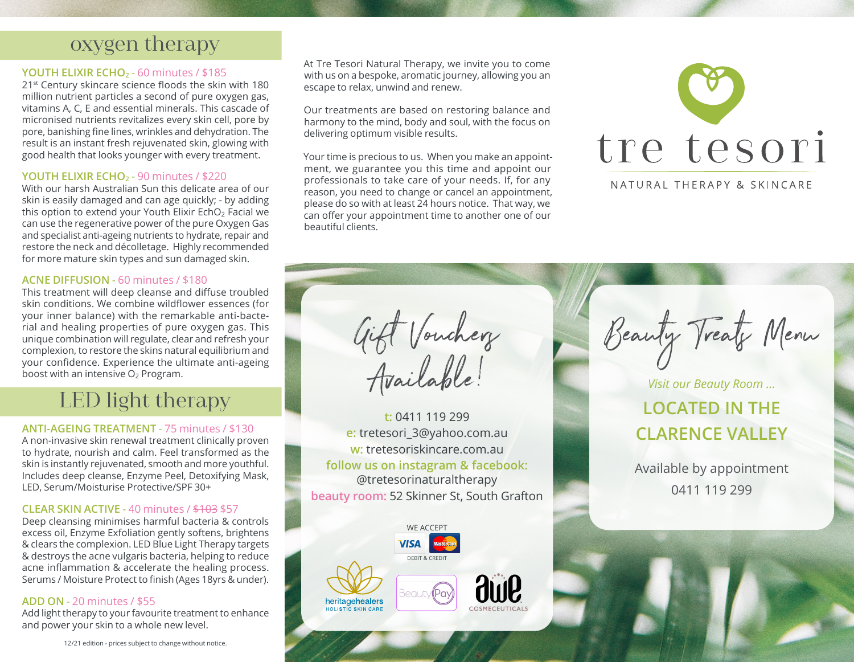### oxygen therapy

#### **YOUTH ELIXIR ECHO**<sub>2</sub> - 60 minutes / \$185

21st Century skincare science floods the skin with 180 million nutrient particles a second of pure oxygen gas, vitamins A, C, E and essential minerals. This cascade of micronised nutrients revitalizes every skin cell, pore by pore, banishing fine lines, wrinkles and dehydration. The result is an instant fresh rejuvenated skin, glowing with good health that looks younger with every treatment.

#### **YOUTH ELIXIR ECHO**<sub>2</sub> - 90 minutes / \$220

With our harsh Australian Sun this delicate area of our skin is easily damaged and can age quickly; - by adding this option to extend your Youth Elixir EchO<sub>2</sub> Facial we can use the regenerative power of the pure Oxygen Gas and specialist anti-ageing nutrients to hydrate, repair and restore the neck and décolletage. Highly recommended for more mature skin types and sun damaged skin.

#### **ACNE DIFFUSION** - 60 minutes / \$180

This treatment will deep cleanse and diffuse troubled skin conditions. We combine wildflower essences (for your inner balance) with the remarkable anti-bacterial and healing properties of pure oxygen gas. This unique combination will regulate, clear and refresh your complexion, to restore the skins natural equilibrium and your confidence. Experience the ultimate anti-ageing boost with an intensive  $O<sub>2</sub>$  Program.

# LED light therapy

#### **ANTI-AGEING TREATMENT** - 75 minutes / \$130

A non-invasive skin renewal treatment clinically proven to hydrate, nourish and calm. Feel transformed as the skin is instantly rejuvenated, smooth and more youthful. Includes deep cleanse, Enzyme Peel, Detoxifying Mask, LED, Serum/Moisturise Protective/SPF 30+

#### **CLEAR SKIN ACTIVE** - 40 minutes / \$103 \$57

Deep cleansing minimises harmful bacteria & controls excess oil, Enzyme Exfoliation gently softens, brightens & clears the complexion. LED Blue Light Therapy targets & destroys the acne vulgaris bacteria, helping to reduce acne inflammation & accelerate the healing process. Serums / Moisture Protect to finish (Ages 18yrs & under).

#### **ADD ON** - 20 minutes / \$55

Add light therapy to your favourite treatment to enhance and power your skin to a whole new level.

At Tre Tesori Natural Therapy, we invite you to come with us on a bespoke, aromatic journey, allowing you an escape to relax, unwind and renew.

Our treatments are based on restoring balance and harmony to the mind, body and soul, with the focus on delivering optimum visible results.

Your time is precious to us. When you make an appointment, we guarantee you this time and appoint our professionals to take care of your needs. If, for any reason, you need to change or cancel an appointment, please do so with at least 24 hours notice. That way, we can offer your appointment time to another one of our beautiful clients.



NATURAL THERAPY & SKINCARE

Gift Voucherz<br>Available!

**t:** 0411 119 299 **e:** tretesori\_3@yahoo.com.au **w:** tretesoriskincare.com.au **follow us on instagram & facebook:** @tretesorinaturaltherapy **beauty room:** 52 Skinner St, South Grafton



Beauty Treats Menu

*Visit our Beauty Room ...* **LOCATED IN THE CLARENCE VALLEY**

Available by appointment 0411 119 299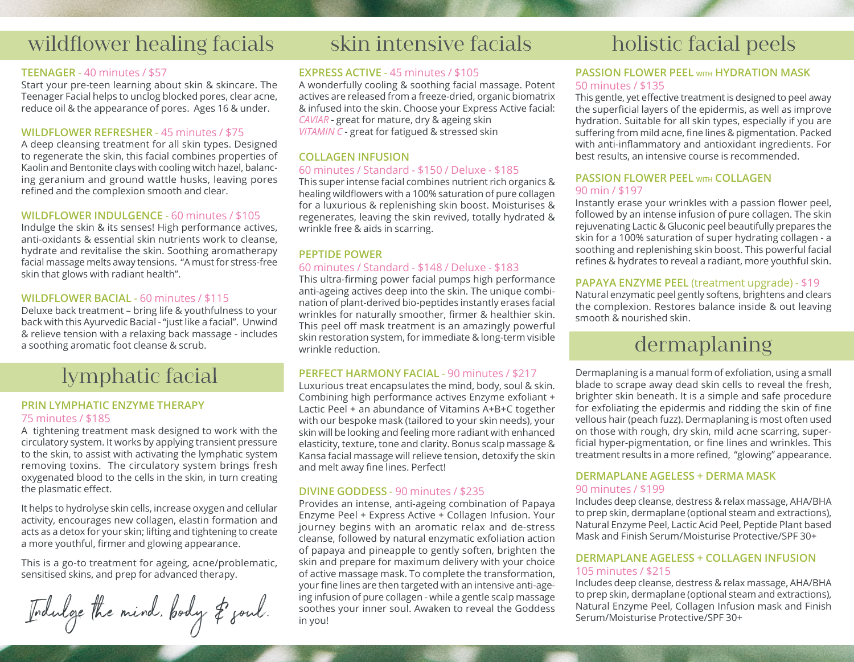# wildflower healing facials

#### **TEENAGER** - 40 minutes / \$57

Start your pre-teen learning about skin & skincare. The Teenager Facial helps to unclog blocked pores, clear acne, reduce oil & the appearance of pores. Ages 16 & under.

#### **WILDFLOWER REFRESHER** - 45 minutes / \$75

A deep cleansing treatment for all skin types. Designed to regenerate the skin, this facial combines properties of Kaolin and Bentonite clays with cooling witch hazel, balancing geranium and ground wattle husks, leaving pores refined and the complexion smooth and clear.

#### **WILDFLOWER INDULGENCE** - 60 minutes / \$105

Indulge the skin & its senses! High performance actives, anti-oxidants & essential skin nutrients work to cleanse, hydrate and revitalise the skin. Soothing aromatherapy facial massage melts away tensions. "A must for stress-free skin that glows with radiant health".

#### **WILDFLOWER BACIAL** - 60 minutes / \$115

Deluxe back treatment – bring life & youthfulness to your back with this Ayurvedic Bacial - "just like a facial". Unwind & relieve tension with a relaxing back massage - includes a soothing aromatic foot cleanse & scrub.

### lymphatic facial

#### **PRIN LYMPHATIC ENZYME THERAPY** 75 minutes / \$185

A tightening treatment mask designed to work with the circulatory system. It works by applying transient pressure to the skin, to assist with activating the lymphatic system removing toxins. The circulatory system brings fresh oxygenated blood to the cells in the skin, in turn creating the plasmatic effect.

It helps to hydrolyse skin cells, increase oxygen and cellular activity, encourages new collagen, elastin formation and acts as a detox for your skin; lifting and tightening to create a more youthful, firmer and glowing appearance.

This is a go-to treatment for ageing, acne/problematic, sensitised skins, and prep for advanced therapy.

Indulge the mind, pody of youl. In you!<br>In you! Soothes your inner soul. Awaken to reveal the Goddess Natural Enzyme Peel, Collagen Infusing the southes in you!

# skin intensive facials

#### **EXPRESS ACTIVE** - 45 minutes / \$105

A wonderfully cooling & soothing facial massage. Potent actives are released from a freeze-dried, organic biomatrix & infused into the skin. Choose your Express Active facial: *CAVIAR* - great for mature, dry & ageing skin *VITAMIN C* - great for fatigued & stressed skin

#### **COLLAGEN INFUSION**

#### 60 minutes / Standard - \$150 / Deluxe - \$185

This super intense facial combines nutrient rich organics & healing wildflowers with a 100% saturation of pure collagen for a luxurious & replenishing skin boost. Moisturises & regenerates, leaving the skin revived, totally hydrated & wrinkle free & aids in scarring.

#### **PEPTIDE POWER**

#### 60 minutes / Standard - \$148 / Deluxe - \$183

This ultra-firming power facial pumps high performance anti-ageing actives deep into the skin. The unique combination of plant-derived bio-peptides instantly erases facial wrinkles for naturally smoother, firmer & healthier skin. This peel off mask treatment is an amazingly powerful skin restoration system, for immediate & long-term visible wrinkle reduction.

#### **PERFECT HARMONY FACIAL** - 90 minutes / \$217

Luxurious treat encapsulates the mind, body, soul & skin. Combining high performance actives Enzyme exfoliant + Lactic Peel + an abundance of Vitamins A+B+C together with our bespoke mask (tailored to your skin needs), your skin will be looking and feeling more radiant with enhanced elasticity, texture, tone and clarity. Bonus scalp massage & Kansa facial massage will relieve tension, detoxify the skin and melt away fine lines. Perfect!

#### **DIVINE GODDESS** - 90 minutes / \$235

Provides an intense, anti-ageing combination of Papaya Enzyme Peel + Express Active + Collagen Infusion. Your journey begins with an aromatic relax and de-stress cleanse, followed by natural enzymatic exfoliation action of papaya and pineapple to gently soften, brighten the skin and prepare for maximum delivery with your choice of active massage mask. To complete the transformation, your fine lines are then targeted with an intensive anti-ageing infusion of pure collagen - while a gentle scalp massage soothes your inner soul. Awaken to reveal the Goddess in you!

# holistic facial peels

#### **PASSION FLOWER PEEL WITH HYDRATION MASK** 50 minutes / \$135

This gentle, yet effective treatment is designed to peel away the superficial layers of the epidermis, as well as improve hydration. Suitable for all skin types, especially if you are suffering from mild acne, fine lines & pigmentation. Packed with anti-inflammatory and antioxidant ingredients. For best results, an intensive course is recommended.

#### **PASSION FLOWER PEEL WITH COLLAGEN** 90 min / \$197

Instantly erase your wrinkles with a passion flower peel, followed by an intense infusion of pure collagen. The skin rejuvenating Lactic & Gluconic peel beautifully prepares the skin for a 100% saturation of super hydrating collagen - a soothing and replenishing skin boost. This powerful facial refines & hydrates to reveal a radiant, more youthful skin.

#### **PAPAYA ENZYME PEEL** (treatment upgrade) - \$19

Natural enzymatic peel gently softens, brightens and clears the complexion. Restores balance inside & out leaving smooth & nourished skin.

## dermaplaning

Dermaplaning is a manual form of exfoliation, using a small blade to scrape away dead skin cells to reveal the fresh, brighter skin beneath. It is a simple and safe procedure for exfoliating the epidermis and ridding the skin of fine vellous hair (peach fuzz). Dermaplaning is most often used on those with rough, dry skin, mild acne scarring, superficial hyper-pigmentation, or fine lines and wrinkles. This treatment results in a more refined, "glowing" appearance.

#### **DERMAPLANE AGELESS + DERMA MASK** 90 minutes / \$199

Includes deep cleanse, destress & relax massage, AHA/BHA to prep skin, dermaplane (optional steam and extractions), Natural Enzyme Peel, Lactic Acid Peel, Peptide Plant based Mask and Finish Serum/Moisturise Protective/SPF 30+

#### **DERMAPLANE AGELESS + COLLAGEN INFUSION** 105 minutes / \$215

Includes deep cleanse, destress & relax massage, AHA/BHA to prep skin, dermaplane (optional steam and extractions), Natural Enzyme Peel, Collagen Infusion mask and Finish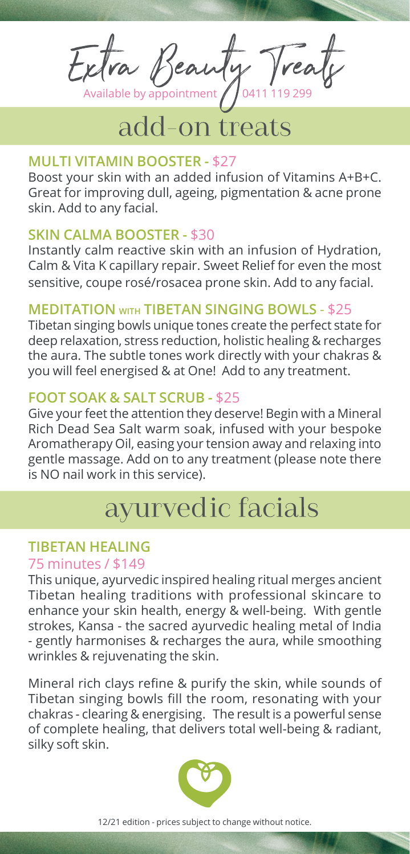Extra Beauty Treat

# add-on treats

#### **MULTI VITAMIN BOOSTER -** \$27

Boost your skin with an added infusion of Vitamins A+B+C. Great for improving dull, ageing, pigmentation & acne prone skin. Add to any facial.

#### **SKIN CALMA BOOSTER -** \$30

Instantly calm reactive skin with an infusion of Hydration, Calm & Vita K capillary repair. Sweet Relief for even the most sensitive, coupe rosé/rosacea prone skin. Add to any facial.

#### **MEDITATION WITH TIBETAN SINGING BOWLS** - \$25

Tibetan singing bowls unique tones create the perfect state for deep relaxation, stress reduction, holistic healing & recharges the aura. The subtle tones work directly with your chakras & you will feel energised & at One! Add to any treatment.

#### **FOOT SOAK & SALT SCRUB -** \$25

Give your feet the attention they deserve! Begin with a Mineral Rich Dead Sea Salt warm soak, infused with your bespoke Aromatherapy Oil, easing your tension away and relaxing into gentle massage. Add on to any treatment (please note there is NO nail work in this service).

### ayurvedic facials

#### **TIBETAN HEALING**

#### 75 minutes / \$149

This unique, ayurvedic inspired healing ritual merges ancient Tibetan healing traditions with professional skincare to enhance your skin health, energy & well-being. With gentle strokes, Kansa - the sacred ayurvedic healing metal of India - gently harmonises & recharges the aura, while smoothing wrinkles & rejuvenating the skin.

Mineral rich clays refine & purify the skin, while sounds of Tibetan singing bowls fill the room, resonating with your chakras - clearing & energising. The result is a powerful sense of complete healing, that delivers total well-being & radiant, silky soft skin.